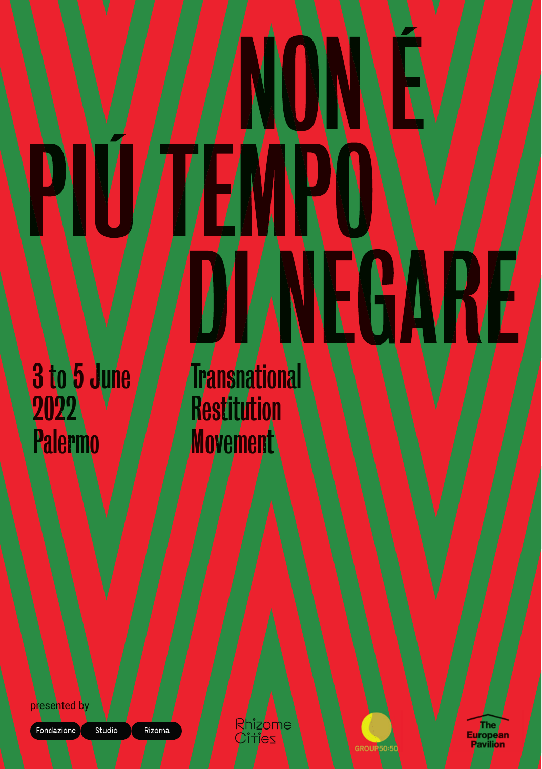# EGARE

3 to 5 June 2022 Palermo

Transnational **Restitution Movement** 

presented by

Fondazione

Studio

Rizoma

Rhizome<br>Cities

GROUP50:50

The<br>European<br>Pavilion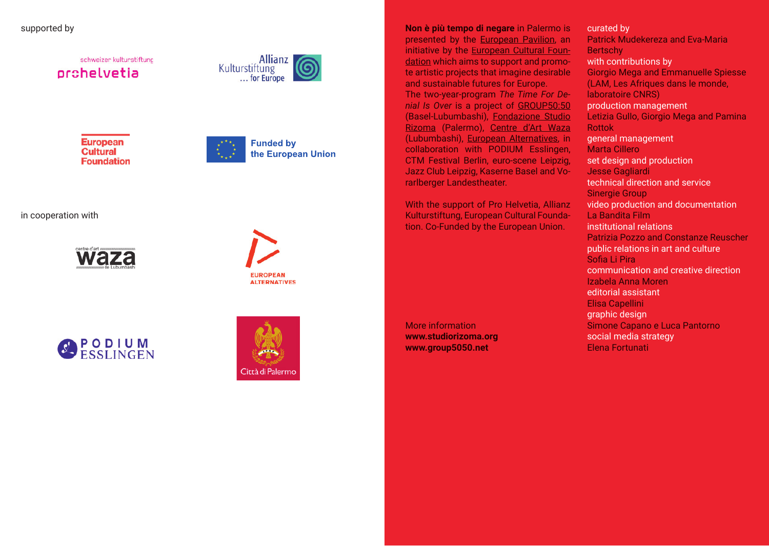supported by

schweizer kulturstiftung orchelvetia



**European Cultural Foundation** 



the European Union

in cooperation with









**Non è più tempo di negare** in Palermo is presented by the European Pavilion, an initiative by the European Cultural Foundation which aims to support and promote artistic projects that imagine desirable and sustainable futures for Europe. The two-year-program *The Time For Denial Is Over* is a project of GROUP50:50 (Basel-Lubumbashi), Fondazione Studio Rizoma (Palermo), Centre d'Art Waza (Lubumbashi), European Alternatives, in collaboration with PODIUM Esslingen, CTM Festival Berlin, euro-scene Leipzig, Jazz Club Leipzig, Kaserne Basel and Vorarlberger Landestheater.

With the support of Pro Helvetia, Allianz Kulturstiftung, European Cultural Foundation. Co-Funded by the European Union.

More information **www.studiorizoma.org www.group5050.net**

Patrick Mudekereza and Eva-Maria **Bertschy** Giorgio Mega and Emmanuelle Spiesse (LAM, Les Afriques dans le monde, laboratoire CNRS) Letizia Gullo, Giorgio Mega and Pamina Rottok Marta Cillero Jesse Gagliardi Sinergie Group La Bandita Film Patrizia Pozzo and Constanze Reuscher Sofia Li Pira Izabela Anna Moren Elisa Capellini Simone Capano e Luca Pantorno Elena Fortunati curated by with contributions by production management general management set design and production technical direction and service video production and documentation institutional relations public relations in art and culture communication and creative direction editorial assistant graphic design social media strategy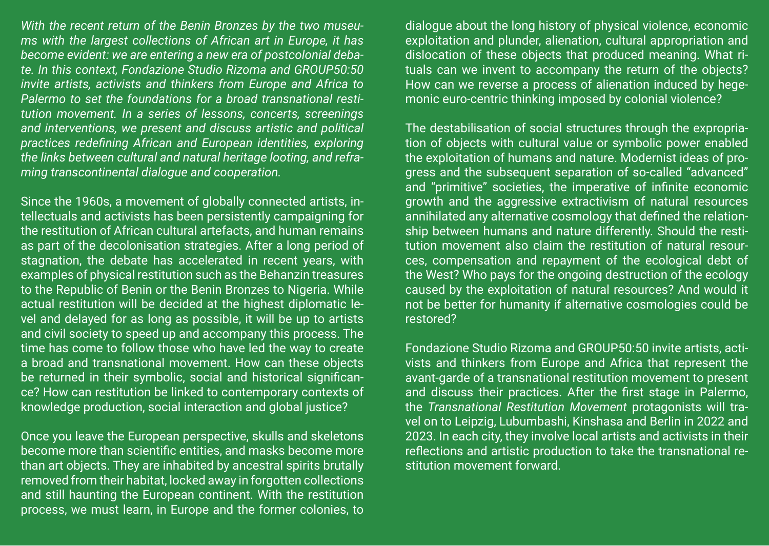*With the recent return of the Benin Bronzes by the two museums with the largest collections of African art in Europe, it has become evident: we are entering a new era of postcolonial debate. In this context, Fondazione Studio Rizoma and GROUP50:50 invite artists, activists and thinkers from Europe and Africa to Palermo to set the foundations for a broad transnational restitution movement. In a series of lessons, concerts, screenings and interventions, we present and discuss artistic and political practices redefining African and European identities, exploring the links between cultural and natural heritage looting, and reframing transcontinental dialogue and cooperation.*

Since the 1960s, a movement of globally connected artists, intellectuals and activists has been persistently campaigning for the restitution of African cultural artefacts, and human remains as part of the decolonisation strategies. After a long period of stagnation, the debate has accelerated in recent years, with examples of physical restitution such as the Behanzin treasures to the Republic of Benin or the Benin Bronzes to Nigeria. While actual restitution will be decided at the highest diplomatic level and delayed for as long as possible, it will be up to artists and civil society to speed up and accompany this process. The time has come to follow those who have led the way to create a broad and transnational movement. How can these objects be returned in their symbolic, social and historical significance? How can restitution be linked to contemporary contexts of knowledge production, social interaction and global justice?

Once you leave the European perspective, skulls and skeletons become more than scientific entities, and masks become more than art objects. They are inhabited by ancestral spirits brutally removed from their habitat, locked away in forgotten collections and still haunting the European continent. With the restitution process, we must learn, in Europe and the former colonies, to

dialogue about the long history of physical violence, economic exploitation and plunder, alienation, cultural appropriation and dislocation of these objects that produced meaning. What rituals can we invent to accompany the return of the objects? How can we reverse a process of alienation induced by hegemonic euro-centric thinking imposed by colonial violence?

The destabilisation of social structures through the expropriation of objects with cultural value or symbolic power enabled the exploitation of humans and nature. Modernist ideas of progress and the subsequent separation of so-called "advanced" and "primitive" societies, the imperative of infinite economic growth and the aggressive extractivism of natural resources annihilated any alternative cosmology that defined the relationship between humans and nature differently. Should the restitution movement also claim the restitution of natural resources, compensation and repayment of the ecological debt of the West? Who pays for the ongoing destruction of the ecology caused by the exploitation of natural resources? And would it not be better for humanity if alternative cosmologies could be restored?

Fondazione Studio Rizoma and GROUP50:50 invite artists, activists and thinkers from Europe and Africa that represent the avant-garde of a transnational restitution movement to present and discuss their practices. After the first stage in Palermo, the *Transnational Restitution Movement* protagonists will travel on to Leipzig, Lubumbashi, Kinshasa and Berlin in 2022 and 2023. In each city, they involve local artists and activists in their reflections and artistic production to take the transnational restitution movement forward.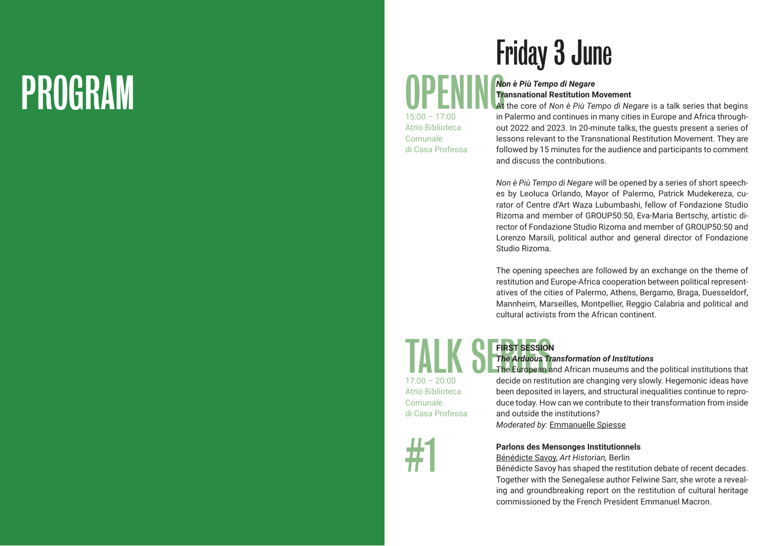# PROGRAM

### Friday 3 June

### OPENING*Non è Più Tempo di Negare* **Transnational Restitution Movement**

 $15:00 - 17:00$ Atrio Biblioteca Comunale di Casa Professa At the core of *Non è Più Tempo di Negare* is a talk series that begins in Palermo and continues in many cities in Europe and Africa throughout 2022 and 2023. In 20-minute talks, the guests present a series of lessons relevant to the Transnational Restitution Movement. They are followed by 15 minutes for the audience and participants to comment and discuss the contributions.

*Non è Più Tempo di Negare* will be opened by a series of short speeches by Leoluca Orlando, Mayor of Palermo, Patrick Mudekereza, curator of Centre d'Art Waza Lubumbashi, fellow of Fondazione Studio Rizoma and member of GROUP50:50, Eva-Maria Bertschy, artistic director of Fondazione Studio Rizoma and member of GROUP50:50 and Lorenzo Marsili, political author and general director of Fondazione Studio Rizoma.

The opening speeches are followed by an exchange on the theme of restitution and Europe-Africa cooperation between political representatives of the cities of Palermo, Athens, Bergamo, Braga, Duesseldorf, Mannheim, Marseilles, Montpellier, Reggio Calabria and political and cultural activists from the African continent.

TALK SERIES SESSION  $17:00 - 20:00$ Atrio Biblioteca Comunale di Casa Professa



#### *The Arduous Transformation of Institutions* The European and African museums and the political institutions that

**FIRST SESSION** 

decide on restitution are changing very slowly. Hegemonic ideas have been deposited in layers, and structural inequalities continue to reproduce today. How can we contribute to their transformation from inside and outside the institutions?

*Moderated by:* Emmanuelle Spiesse

**Parlons des Mensonges Institutionnels**

Bénédicte Savoy, *Art Historian,* Berlin

Bénédicte Savoy has shaped the restitution debate of recent decades. Together with the Senegalese author Felwine Sarr, she wrote a revealing and groundbreaking report on the restitution of cultural heritage commissioned by the French President Emmanuel Macron.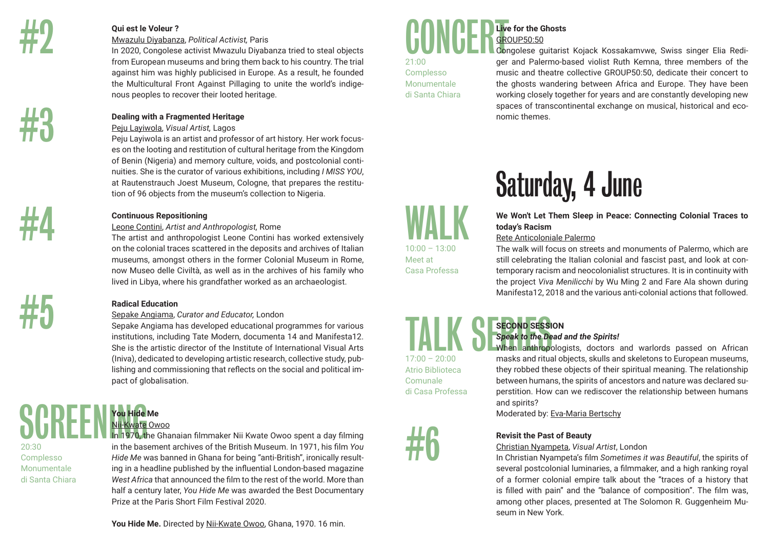

#4

#5

### **Qui est le Voleur ?**

#### Mwazulu Diyabanza, *Political Activist,* Paris

In 2020, Congolese activist Mwazulu Diyabanza tried to steal objects from European museums and bring them back to his country. The trial against him was highly publicised in Europe. As a result, he founded the Multicultural Front Against Pillaging to unite the world's indigenous peoples to recover their looted heritage.

### **Dealing with a Fragmented Heritage**

### Peju Layiwola, *Visual Artist,* Lagos

Peju Layiwola is an artist and professor of art history. Her work focuses on the looting and restitution of cultural heritage from the Kingdom of Benin (Nigeria) and memory culture, voids, and postcolonial continuities. She is the curator of various exhibitions, including *I MISS YOU*, at Rautenstrauch Joest Museum, Cologne, that prepares the restitution of 96 objects from the museum's collection to Nigeria.

### **Continuous Repositioning**

### Leone Contini, *Artist and Anthropologist,* Rome

The artist and anthropologist Leone Contini has worked extensively on the colonial traces scattered in the deposits and archives of Italian museums, amongst others in the former Colonial Museum in Rome, now Museo delle Civiltà, as well as in the archives of his family who lived in Libya, where his grandfather worked as an archaeologist.

### **Radical Education**

### Sepake Angiama, *Curator and Educator,* London

Sepake Angiama has developed educational programmes for various institutions, including Tate Modern, documenta 14 and Manifesta12. She is the artistic director of the Institute of International Visual Arts (Iniva), dedicated to developing artistic research, collective study, publishing and commissioning that reflects on the social and political impact of globalisation.

### SCREEN You Hide **You Hide Me** Nii-Kwate Owoo

20:30 Complesso Monumentale di Santa Chiara In 1970, the Ghanaian filmmaker Nii Kwate Owoo spent a day filming in the basement archives of the British Museum. In 1971, his film *You Hide Me* was banned in Ghana for being "anti-British", ironically resulting in a headline published by the influential London-based magazine *West Africa* that announced the film to the rest of the world. More than half a century later, *You Hide Me* was awarded the Best Documentary Prize at the Paris Short Film Festival 2020.

**You Hide Me.** Directed by Nii-Kwate Owoo, Ghana, 1970. 16 min.

### **CONCERTAIN Live for the Ghosts** GROUP50:50

21:00 Complesso Monumentale di Santa Chiara

Congolese guitarist Kojack Kossakamvwe, Swiss singer Elia Rediger and Palermo-based violist Ruth Kemna, three members of the music and theatre collective GROUP50:50, dedicate their concert to the ghosts wandering between Africa and Europe. They have been working closely together for years and are constantly developing new spaces of transcontinental exchange on musical, historical and economic themes.

### Saturday, 4 June

**We Won't Let Them Sleep in Peace: Connecting Colonial Traces to today's Racism**

### Rete Anticoloniale Palermo

The walk will focus on streets and monuments of Palermo, which are still celebrating the Italian colonial and fascist past, and look at contemporary racism and neocolonialist structures. It is in continuity with the project *Viva Menilicchi* by Wu Ming 2 and Fare Ala shown during Manifesta12, 2018 and the various anti-colonial actions that followed.

### **SECOND SESSION** *Speak to the Dead and the Spirits!*

When anthropologists, doctors and warlords passed on African masks and ritual objects, skulls and skeletons to European museums, they robbed these objects of their spiritual meaning. The relationship between humans, the spirits of ancestors and nature was declared superstition. How can we rediscover the relationship between humans and spirits?

Moderated by: Eva-Maria Bertschy

### **Revisit the Past of Beauty**

### Christian Nyampeta, *Visual Artist*, London

In Christian Nyampeta's film *Sometimes it was Beautiful*, the spirits of several postcolonial luminaries, a filmmaker, and a high ranking royal of a former colonial empire talk about the "traces of a history that is filled with pain" and the "balance of composition". The film was, among other places, presented at The Solomon R. Guggenheim Museum in New York.

**WALK**  $10:00 - 13:00$ Meet at

Casa Professa

TALK SECOND SESSI  $17:00 - 20:00$ Atrio Biblioteca Comunale di Casa Professa

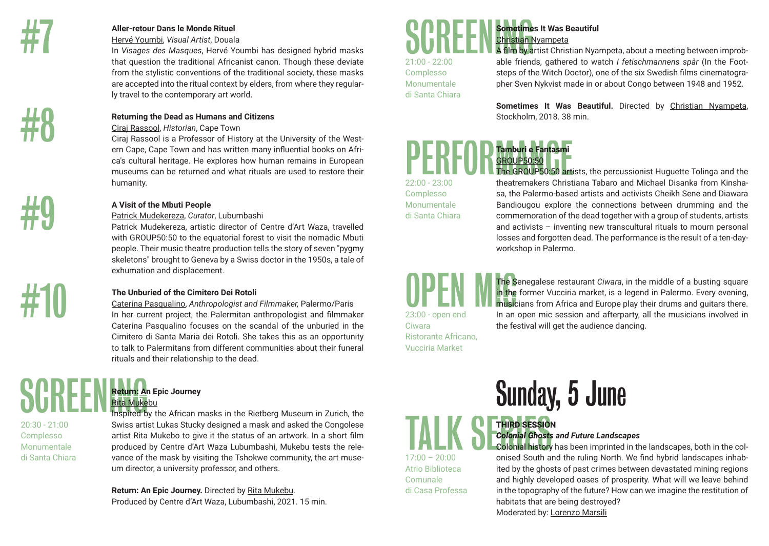

#9

#10

### **Aller-retour Dans le Monde Rituel**

Hervé Youmbi, *Visual Artist*, Douala

In *Visages des Masques*, Hervé Youmbi has designed hybrid masks that question the traditional Africanist canon. Though these deviate from the stylistic conventions of the traditional society, these masks are accepted into the ritual context by elders, from where they regularly travel to the contemporary art world.

### **Returning the Dead as Humans and Citizens**

Ciraj Rassool, *Historian*, Cape Town

Ciraj Rassool is a Professor of History at the University of the Western Cape, Cape Town and has written many influential books on Africa's cultural heritage. He explores how human remains in European museums can be returned and what rituals are used to restore their humanity.

### **A Visit of the Mbuti People**

### Patrick Mudekereza, *Curator*, Lubumbashi

Patrick Mudekereza, artistic director of Centre d'Art Waza, travelled with GROUP50:50 to the equatorial forest to visit the nomadic Mbuti people. Their music theatre production tells the story of seven "pygmy skeletons" brought to Geneva by a Swiss doctor in the 1950s, a tale of exhumation and displacement.

### **The Unburied of the Cimitero Dei Rotoli**

Caterina Pasqualino, *Anthropologist and Filmmaker,* Palermo/Paris In her current project, the Palermitan anthropologist and filmmaker Caterina Pasqualino focuses on the scandal of the unburied in the Cimitero di Santa Maria dei Rotoli. She takes this as an opportunity to talk to Palermitans from different communities about their funeral rituals and their relationship to the dead. Allege dies is More Relations and the China control to the second control in the series of the control in the series of the series of the series of the control in the series of the series of the series of the series of th

### **Return: An Epic Journey** Rita Mukebu

20:30 - 21:00 Complesso Monumentale di Santa Chiara Inspired by the African masks in the Rietberg Museum in Zurich, the Swiss artist Lukas Stucky designed a mask and asked the Congolese artist Rita Mukebo to give it the status of an artwork. In a short film produced by Centre d'Art Waza Lubumbashi, Mukebu tests the relevance of the mask by visiting the Tshokwe community, the art museum director, a university professor, and others.

**Return: An Epic Journey.** Directed by Rita Mukebu. Produced by Centre d'Art Waza, Lubumbashi, 2021. 15 min.

### **Sometimes It Was Beautiful** Christian Nyampeta

21:00 - 22:00 Complesso Monumentale di Santa Chiara A film by artist Christian Nyampeta, about a meeting between improbable friends, gathered to watch *I fetischmannens spår* (In the Footsteps of the Witch Doctor), one of the six Swedish films cinematographer Sven Nykvist made in or about Congo between 1948 and 1952.

**Sometimes It Was Beautiful.** Directed by Christian Nyampeta, Stockholm, 2018. 38 min.

### **Tamburi e Fantasmi**  GROUP50:50

22:00 - 23:00 Complesso **Monumentale** di Santa Chiara

The GROUP50:50 artists, the percussionist Huguette Tolinga and the theatremakers Christiana Tabaro and Michael Disanka from Kinshasa, the Palermo-based artists and activists Cheikh Sene and Diawara Bandiougou explore the connections between drumming and the commemoration of the dead together with a group of students, artists and activists – inventing new transcultural rituals to mourn personal losses and forgotten dead. The performance is the result of a ten-dayworkshop in Palermo.

23:00 - open end Ciwara

The Senegalese restaurant *Ciwara*, in the middle of a busting square in the former Vucciria market, is a legend in Palermo. Every evening, musicians from Africa and Europe play their drums and guitars there. In an open mic session and afterparty, all the musicians involved in the festival will get the audience dancing.

Ristorante Africano, Vucciria Market

Atrio Biblioteca Comunale di Casa Professa Sunday, 5 June

### **THIRD SESSION** *Colonial Ghosts and Future Landscapes*

Colonial history has been imprinted in the landscapes, both in the colonised South and the ruling North. We find hybrid landscapes inhabited by the ghosts of past crimes between devastated mining regions and highly developed oases of prosperity. What will we leave behind in the topography of the future? How can we imagine the restitution of habitats that are being destroyed? Moderated by: Lorenzo Marsili TALK STRIRD SESSION<br>Colonial Ghosts<br>17:00 – 20:00<br>onised South a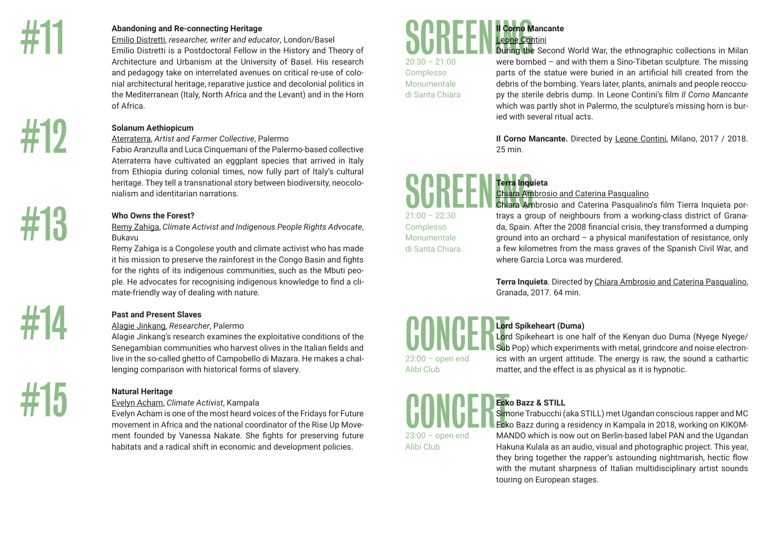#13

#### **Abandoning and Re-connecting Heritage**

Emilio Distretti, *researcher, writer and educator*, London/Basel Emilio Distretti is a Postdoctoral Fellow in the History and Theory of Architecture and Urbanism at the University of Basel. His research and pedagogy take on interrelated avenues on critical re-use of colonial architectural heritage, reparative justice and decolonial politics in the Mediterranean (Italy, North Africa and the Levant) and in the Horn of Africa.

### **Solanum Aethiopicum**

Aterraterra, *Artist and Farmer Collective*, Palermo

Fabio Aranzulla and Luca Cinquemani of the Palermo-based collective Aterraterra have cultivated an eggplant species that arrived in Italy from Ethiopia during colonial times, now fully part of Italy's cultural heritage. They tell a transnational story between biodiversity, neocolonialism and identitarian narrations.

### **Who Owns the Forest?**

Remy Zahiga, *Climate Activist and Indigenous People Rights Advocate*, Bukavu

Remy Zahiga is a Congolese youth and climate activist who has made it his mission to preserve the rainforest in the Congo Basin and fights for the rights of its indigenous communities, such as the Mbuti people. He advocates for recognising indigenous knowledge to find a climate-friendly way of dealing with nature.

### **Past and Present Slaves**

### Alagie Jinkang, *Researcher*, Palermo

Alagie Jinkang's research examines the exploitative conditions of the Senegambian communities who harvest olives in the Italian fields and live in the so-called ghetto of Campobello di Mazara. He makes a challenging comparison with historical forms of slavery.

# #15

### **Natural Heritage**

### Evelyn Acham, *Climate Activist*, Kampala

Evelyn Acham is one of the most heard voices of the Fridays for Future movement in Africa and the national coordinator of the Rise Up Movement founded by Vanessa Nakate. She fights for preserving future habitats and a radical shift in economic and development policies.

# **Il Corno Mancante** Leone Contini SCREENINGSCREENINGSCR<br>
Complesso parts of the distant<br>
di Santa Chiara<br>
di Santa Chiara<br>
di Santa Chiara<br>
di Santa Chiara<br>
di Santa Chiara<br>
di Santa Chiara<br>
di Chiara<br>
di Como M<br>
25 min.<br>
Como M<br>
25 min.<br>
Chiara Am<br>
21:00

Complesso Monumentale di Santa Chiara During the Second World War, the ethnographic collections in Milan were bombed – and with them a Sino-Tibetan sculpture. The missing parts of the statue were buried in an artificial hill created from the debris of the bombing. Years later, plants, animals and people reoccupy the sterile debris dump. In Leone Contini's film *Il Corno Mancante* which was partly shot in Palermo, the sculpture's missing horn is buried with several ritual acts.

**Il Corno Mancante.** Directed by Leone Contini, Milano, 2017 / 2018. 25 min.

### **Terra Inquieta**

20:30 – 21:00<br>
Complesso<br>
Monumentale<br>
di Santa Chiara<br>
21:00 – 22:30<br>
Complesso<br>
Monumentale<br>
di Santa Chiara<br>
di Santa Chiara<br>
di Santa Chiara<br>
di Santa Chiara<br>
di Santa Chiara<br>
di Santa Chiara<br>
di Santa Chiara<br>
di Santa 21:00 – 22:30

### Chiara Ambrosio and Caterina Pasqualino

Chiara Ambrosio and Caterina Pasqualino's film Tierra Inquieta portrays a group of neighbours from a working-class district of Granada, Spain. After the 2008 financial crisis, they transformed a dumping ground into an orchard – a physical manifestation of resistance, only a few kilometres from the mass graves of the Spanish Civil War, and where Garcia Lorca was murdered.

**Terra Inquieta**. Directed by Chiara Ambrosio and Caterina Pasqualino, Granada, 2017. 64 min.

### **Lord Spikeheart (Duma)**

Lord Spikeheart is one half of the Kenyan duo Duma (Nyege Nyege/ Sub Pop) which experiments with metal, grindcore and noise electronics with an urgent attitude. The energy is raw, the sound a cathartic matter, and the effect is as physical as it is hypnotic.

### **Ecko Bazz & STILL**

23:00 – open end Alibi Club

23:00 – open end Alibi Club

### Simone Trabucchi (aka STILL) met Ugandan conscious rapper and MC

Ecko Bazz during a residency in Kampala in 2018, working on KIKOM-MANDO which is now out on Berlin-based label PAN and the Ugandan Hakuna Kulala as an audio, visual and photographic project. This year, they bring together the rapper's astounding nightmarish, hectic flow with the mutant sharpness of Italian multidisciplinary artist sounds touring on European stages.

Complesso Monumentale di Santa Chiara

#14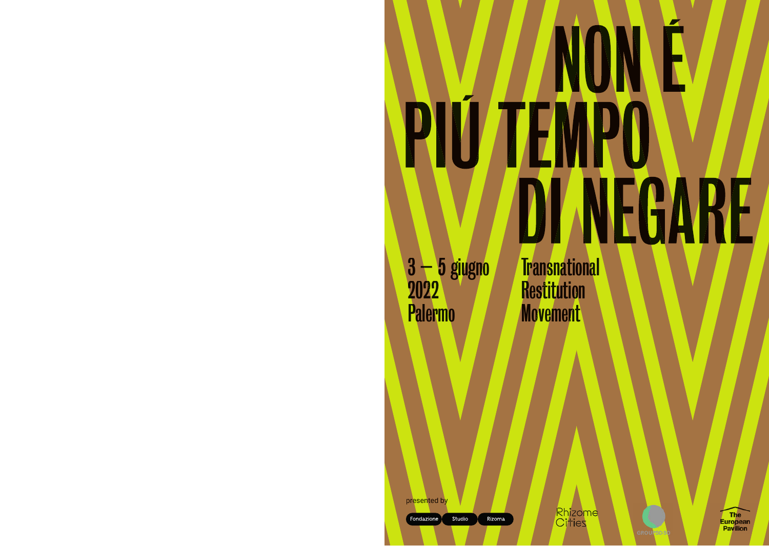### $\blacktriangleright$ NO H **VÚ** R **TEM** NEGARE  $\bm{U}$ l

3 – 5 giugno 2022 Palermo

**Transnational Restitution Movement** 

Rhizome<br>Cities



presented by

Fondazione Studio

Rizoma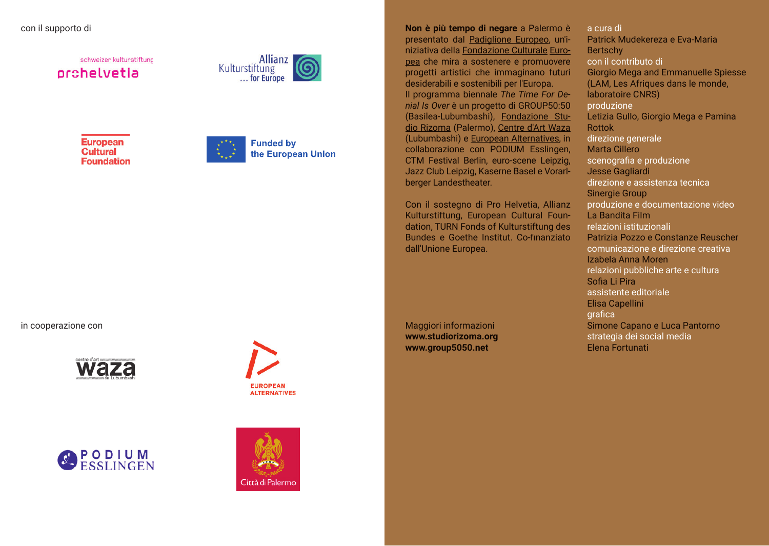### con il supporto di

schweizer kulturstiftung orchelvetia



**European Cultural Foundation** 



**Funded by** the European Union

in cooperazione con









**Non è più tempo di negare** a Palermo è presentato dal Padiglione Europeo, un'iniziativa della Fondazione Culturale Europea che mira a sostenere e promuovere progetti artistici che immaginano futuri desiderabili e sostenibili per l'Europa. Il programma biennale *The Time For Denial Is Over* è un progetto di GROUP50:50 (Basilea-Lubumbashi), Fondazione Studio Rizoma (Palermo), Centre d'Art Waza (Lubumbashi) e European Alternatives, in collaborazione con PODIUM Esslingen, CTM Festival Berlin, euro-scene Leipzig, Jazz Club Leipzig, Kaserne Basel e Vorarlberger Landestheater.

Con il sostegno di Pro Helvetia, Allianz Kulturstiftung, European Cultural Foundation, TURN Fonds of Kulturstiftung des Bundes e Goethe Institut. Co-finanziato dall'Unione Europea.

Maggiori informazioni **www.studiorizoma.org www.group5050.net**

Patrick Mudekereza e Eva-Maria **Bertschy** Giorgio Mega and Emmanuelle Spiesse (LAM, Les Afriques dans le monde, laboratoire CNRS) Letizia Gullo, Giorgio Mega e Pamina Rottok Marta Cillero Jesse Gagliardi Sinergie Group La Bandita Film Patrizia Pozzo e Constanze Reuscher Izabela Anna Moren Sofia Li Pira Elisa Capellini Simone Capano e Luca Pantorno Elena Fortunati a cura di con il contributo di produzione direzione generale scenografia e produzione direzione e assistenza tecnica produzione e documentazione video relazioni istituzionali comunicazione e direzione creativa relazioni pubbliche arte e cultura assistente editoriale **grafica** strategia dei social media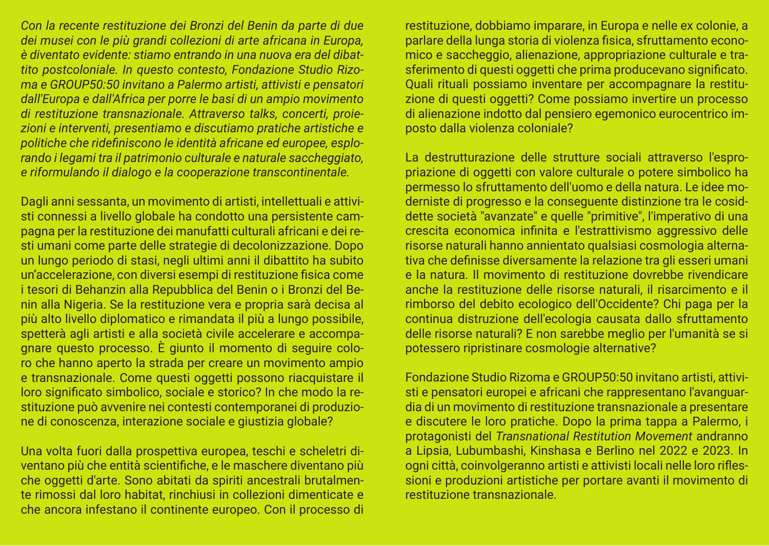*Con la recente restituzione dei Bronzi del Benin da parte di due dei musei con le più grandi collezioni di arte africana in Europa, è diventato evidente: stiamo entrando in una nuova era del dibattito postcoloniale. In questo contesto, Fondazione Studio Rizoma e GROUP50:50 invitano a Palermo artisti, attivisti e pensatori dall'Europa e dall'Africa per porre le basi di un ampio movimento di restituzione transnazionale. Attraverso talks, concerti, proiezioni e interventi, presentiamo e discutiamo pratiche artistiche e politiche che ridefiniscono le identità africane ed europee, esplorando i legami tra il patrimonio culturale e naturale saccheggiato, e riformulando il dialogo e la cooperazione transcontinentale.*

Dagli anni sessanta, un movimento di artisti, intellettuali e attivisti connessi a livello globale ha condotto una persistente campagna per la restituzione dei manufatti culturali africani e dei resti umani come parte delle strategie di decolonizzazione. Dopo un lungo periodo di stasi, negli ultimi anni il dibattito ha subito un'accelerazione, con diversi esempi di restituzione fisica come i tesori di Behanzin alla Repubblica del Benin o i Bronzi del Benin alla Nigeria. Se la restituzione vera e propria sarà decisa al più alto livello diplomatico e rimandata il più a lungo possibile, spetterà agli artisti e alla società civile accelerare e accompagnare questo processo. È giunto il momento di seguire coloro che hanno aperto la strada per creare un movimento ampio e transnazionale. Come questi oggetti possono riacquistare il loro significato simbolico, sociale e storico? In che modo la restituzione può avvenire nei contesti contemporanei di produzione di conoscenza, interazione sociale e giustizia globale?

Una volta fuori dalla prospettiva europea, teschi e scheletri diventano più che entità scientifiche, e le maschere diventano più che oggetti d'arte. Sono abitati da spiriti ancestrali brutalmente rimossi dal loro habitat, rinchiusi in collezioni dimenticate e che ancora infestano il continente europeo. Con il processo di

restituzione, dobbiamo imparare, in Europa e nelle ex colonie, a parlare della lunga storia di violenza fisica, sfruttamento economico e saccheggio, alienazione, appropriazione culturale e trasferimento di questi oggetti che prima producevano significato. Quali rituali possiamo inventare per accompagnare la restituzione di questi oggetti? Come possiamo invertire un processo di alienazione indotto dal pensiero egemonico eurocentrico imposto dalla violenza coloniale?

La destrutturazione delle strutture sociali attraverso l'espropriazione di oggetti con valore culturale o potere simbolico ha permesso lo sfruttamento dell'uomo e della natura. Le idee moderniste di progresso e la conseguente distinzione tra le cosiddette società "avanzate" e quelle "primitive", l'imperativo di una crescita economica infinita e l'estrattivismo aggressivo delle risorse naturali hanno annientato qualsiasi cosmologia alternativa che definisse diversamente la relazione tra gli esseri umani e la natura. Il movimento di restituzione dovrebbe rivendicare anche la restituzione delle risorse naturali, il risarcimento e il rimborso del debito ecologico dell'Occidente? Chi paga per la continua distruzione dell'ecologia causata dallo sfruttamento delle risorse naturali? E non sarebbe meglio per l'umanità se si potessero ripristinare cosmologie alternative?

Fondazione Studio Rizoma e GROUP50:50 invitano artisti, attivisti e pensatori europei e africani che rappresentano l'avanguardia di un movimento di restituzione transnazionale a presentare e discutere le loro pratiche. Dopo la prima tappa a Palermo, i protagonisti del *Transnational Restitution Movement* andranno a Lipsia, Lubumbashi, Kinshasa e Berlino nel 2022 e 2023. In ogni città, coinvolgeranno artisti e attivisti locali nelle loro riflessioni e produzioni artistiche per portare avanti il movimento di restituzione transnazionale.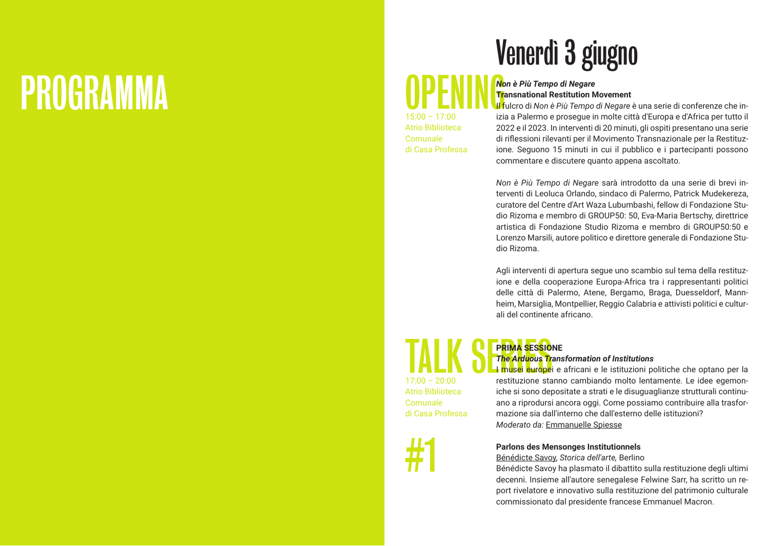# PROGRAMMA

## Venerdì 3 giugno

### OPENING*Non è Più Tempo di Negare* **Transnational Restitution Movement**

15:00 – 17:00 Atrio Biblioteca Comunale di Casa Professa Il fulcro di *Non è Più Tempo di Negare* è una serie di conferenze che inizia a Palermo e prosegue in molte città d'Europa e d'Africa per tutto il 2022 e il 2023. In interventi di 20 minuti, gli ospiti presentano una serie di rifl essioni rilevanti per il Movimento Transnazionale per la Restituzione. Seguono 15 minuti in cui il pubblico e i partecipanti possono commentare e discutere quanto appena ascoltato.

*Non è Più Tempo di Negare* sarà introdotto da una serie di brevi interventi di Leoluca Orlando, sindaco di Palermo, Patrick Mudekereza, curatore del Centre d'Art Waza Lubumbashi, fellow di Fondazione Studio Rizoma e membro di GROUP50: 50, Eva-Maria Bertschy, direttrice artistica di Fondazione Studio Rizoma e membro di GROUP50:50 e Lorenzo Marsili, autore politico e direttore generale di Fondazione Studio Rizoma.

Agli interventi di apertura segue uno scambio sul tema della restituzione e della cooperazione Europa-Africa tra i rappresentanti politici delle città di Palermo, Atene, Bergamo, Braga, Duesseldorf, Mannheim, Marsiglia, Montpellier, Reggio Calabria e attivisti politici e culturali del continente africano.

### TALK SERINA SESSIO **PRIMA SESSIONE**  *The Arduous Transformation of Institutions*

I musei europei e africani e le istituzioni politiche che optano per la restituzione stanno cambiando molto lentamente. Le idee egemoniche si sono depositate a strati e le disuguaglianze strutturali continuano a riprodursi ancora oggi. Come possiamo contribuire alla trasformazione sia dall'interno che dall'esterno delle istituzioni? *Moderato da:* Emmanuelle Spiesse

**Parlons des Mensonges Institutionnels**

Bénédicte Savoy, *Storica dell'arte,* Berlino

Bénédicte Savoy ha plasmato il dibattito sulla restituzione degli ultimi decenni. Insieme all'autore senegalese Felwine Sarr, ha scritto un report rivelatore e innovativo sulla restituzione del patrimonio culturale commissionato dal presidente francese Emmanuel Macron.

 $17:00 - 20:00$ Atrio Biblioteca Comunale di Casa Professa

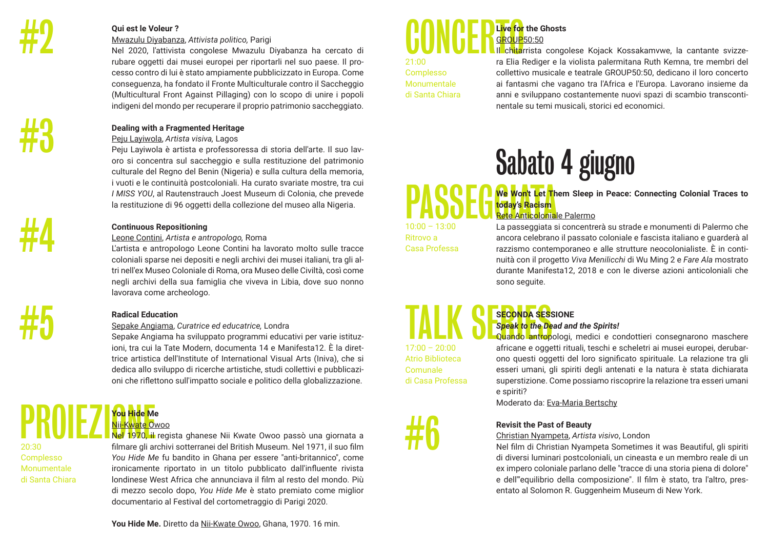#3

#4

#5

### **Qui est le Voleur ?**

#### Mwazulu Diyabanza, *Attivista politico,* Parigi

Nel 2020, l'attivista congolese Mwazulu Diyabanza ha cercato di rubare oggetti dai musei europei per riportarli nel suo paese. Il processo contro di lui è stato ampiamente pubblicizzato in Europa. Come conseguenza, ha fondato il Fronte Multiculturale contro il Saccheggio (Multicultural Front Against Pillaging) con lo scopo di unire i popoli indigeni del mondo per recuperare il proprio patrimonio saccheggiato.

### **Dealing with a Fragmented Heritage**

### Peju Layiwola, *Artista visiva,* Lagos

Peju Layiwola è artista e professoressa di storia dell'arte. Il suo lavoro si concentra sul saccheggio e sulla restituzione del patrimonio culturale del Regno del Benin (Nigeria) e sulla cultura della memoria, i vuoti e le continuità postcoloniali. Ha curato svariate mostre, tra cui *I MISS YOU*, al Rautenstrauch Joest Museum di Colonia, che prevede la restituzione di 96 oggetti della collezione del museo alla Nigeria.

### **Continuous Repositioning**

### Leone Contini, *Artista e antropologo,* Roma

L'artista e antropologo Leone Contini ha lavorato molto sulle tracce coloniali sparse nei depositi e negli archivi dei musei italiani, tra gli altri nell'ex Museo Coloniale di Roma, ora Museo delle Civiltà, così come negli archivi della sua famiglia che viveva in Libia, dove suo nonno lavorava come archeologo.

### **Radical Education**

### Sepake Angiama, *Curatrice ed educatrice,* Londra

Sepake Angiama ha sviluppato programmi educativi per varie istituzioni, tra cui la Tate Modern, documenta 14 e Manifesta12. È la direttrice artistica dell'Institute of International Visual Arts (Iniva), che si dedica allo sviluppo di ricerche artistiche, studi collettivi e pubblicazioni che rifl ettono sull'impatto sociale e politico della globalizzazione.

### PROIEZIONE NEL **You Hide Me** Nii-Kwate Owoo

20:30 Complesso Monumentale di Santa Chiara Nel 1970, il regista ghanese Nii Kwate Owoo passò una giornata a filmare gli archivi sotterranei del British Museum. Nel 1971, il suo film *You Hide Me* fu bandito in Ghana per essere "anti-britannico", come ironicamente riportato in un titolo pubblicato dall'influente rivista londinese West Africa che annunciava il film al resto del mondo. Più di mezzo secolo dopo, *You Hide Me* è stato premiato come miglior documentario al Festival del cortometraggio di Parigi 2020.



21:00 Complesso Monumentale di Santa Chiara III ch<mark>ita</mark>rrista congolese Kojack Kossakamvwe, la cantante svizzera Elia Rediger e la violista palermitana Ruth Kemna, tre membri del collettivo musicale e teatrale GROUP50:50, dedicano il loro concerto ai fantasmi che vagano tra l'Africa e l'Europa. Lavorano insieme da anni e sviluppano costantemente nuovi spazi di scambio transcontinentale su temi musicali, storici ed economici.

# Sabato 4 giugno

**PASSEG We Won't Let The PASSEG** today's Racism **We Won't Let Them Sleep in Peace: Connecting Colonial Traces to today's Racism**

10:00 – 13:00 Ritrovo a Casa Professa

### Rete Anticoloniale Palermo La passeggiata si concentrerà su strade e monumenti di Palermo che ancora celebrano il passato coloniale e fascista italiano e guarderà al razzismo contemporaneo e alle strutture neocolonialiste. È in continuità con il progetto *Viva Menilicchi* di Wu Ming 2 e *Fare Ala* mostrato durante Manifesta12, 2018 e con le diverse azioni anticoloniali che

### TALK SECONDA SES **SECONDA SESSIONE**  $17:00 - 20:00$

sono seguite.

### Atrio Biblioteca Comunale di Casa Professa

#6

*Speak to the Dead and the Spirits!* Quando antropologi, medici e condottieri consegnarono maschere africane e oggetti rituali, teschi e scheletri ai musei europei, derubarono questi oggetti del loro significato spirituale. La relazione tra gli esseri umani, gli spiriti degli antenati e la natura è stata dichiarata superstizione. Come possiamo riscoprire la relazione tra esseri umani e spiriti?

Moderato da: Eva-Maria Bertschy

### **Revisit the Past of Beauty**

### Christian Nyampeta, *Artista visivo*, London

Nel film di Christian Nyampeta Sometimes it was Beautiful, gli spiriti di diversi luminari postcoloniali, un cineasta e un membro reale di un ex impero coloniale parlano delle "tracce di una storia piena di dolore" e dell'"equilibrio della composizione". Il film è stato, tra l'altro, presentato al Solomon R. Guggenheim Museum di New York.

**You Hide Me.** Diretto da Nii-Kwate Owoo, Ghana, 1970. 16 min.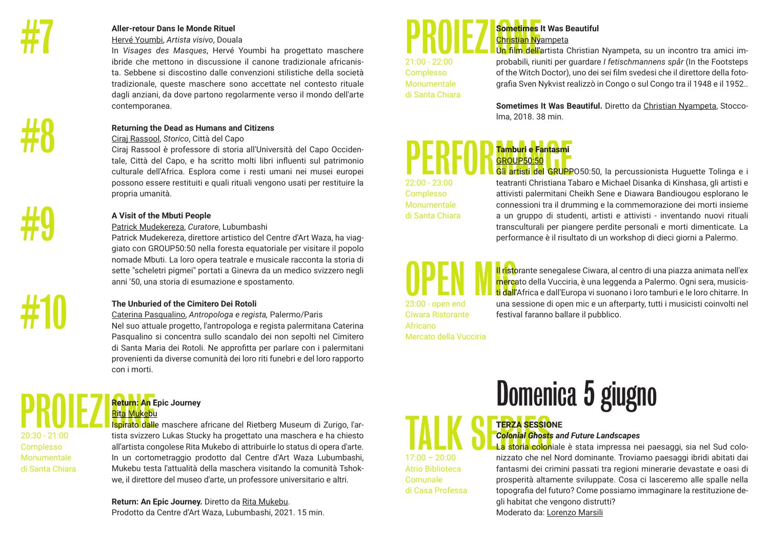

#9

#10

Complesso

#### **Aller-retour Dans le Monde Rituel**

Hervé Youmbi, *Artista visivo*, Douala

In *Visages des Masques*, Hervé Youmbi ha progettato maschere ibride che mettono in discussione il canone tradizionale africanista. Sebbene si discostino dalle convenzioni stilistiche della società tradizionale, queste maschere sono accettate nel contesto rituale dagli anziani, da dove partono regolarmente verso il mondo dell'arte contemporanea.

### **Returning the Dead as Humans and Citizens**

Ciraj Rassool, *Storico*, Città del Capo

Ciraj Rassool è professore di storia all'Università del Capo Occidentale, Città del Capo, e ha scritto molti libri influenti sul patrimonio culturale dell'Africa. Esplora come i resti umani nei musei europei possono essere restituiti e quali rituali vengono usati per restituire la propria umanità.

### **A Visit of the Mbuti People**

### Patrick Mudekereza, *Curatore*, Lubumbashi

Patrick Mudekereza, direttore artistico del Centre d'Art Waza, ha viaggiato con GROUP50:50 nella foresta equatoriale per visitare il popolo nomade Mbuti. La loro opera teatrale e musicale racconta la storia di sette "scheletri pigmei" portati a Ginevra da un medico svizzero negli anni '50, una storia di esumazione e spostamento.

### **The Unburied of the Cimitero Dei Rotoli**

Caterina Pasqualino, *Antropologa e regista,* Palermo/Paris Nel suo attuale progetto, l'antropologa e regista palermitana Caterina Pasqualino si concentra sullo scandalo dei non sepolti nel Cimitero di Santa Maria dei Rotoli. Ne approfitta per parlare con i palermitani provenienti da diverse comunità dei loro riti funebri e del loro rapporto con i morti.

### **Return: An Epic Journey** Rita Mukebu

Ispirato dalle maschere africane del Rietberg Museum di Zurigo, l'artista svizzero Lukas Stucky ha progettato una maschera e ha chiesto all'artista congolese Rita Mukebo di attribuirle lo status di opera d'arte. In un cortometraggio prodotto dal Centre d'Art Waza Lubumbashi, Mukebu testa l'attualità della maschera visitando la comunità Tshokwe, il direttore del museo d'arte, un professore universitario e altri. **PROIEZ**<br>
Return: An E<br>
Rita Mukebu<br>
20:30 - 21:00<br>
tista svizzer Monumentale di Santa Chiara

> **Return: An Epic Journey.** Diretto da Rita Mukebu. Prodotto da Centre d'Art Waza, Lubumbashi, 2021. 15 min.

### **Sometimes It Was Beautiful** Christian Nyampeta **PROIEZ** Sometimes

21:00 - 22:00 Complesso Monumentale di Santa Chiara Un film dell'artista Christian Nyampeta, su un incontro tra amici improbabili, riuniti per guardare *I fetischmannens spår* (In the Footsteps of the Witch Doctor), uno dei sei film svedesi che il direttore della fotografia Sven Nykvist realizzò in Congo o sul Congo tra il 1948 e il 1952.

**Sometimes It Was Beautiful.** Diretto da Christian Nyampeta, Stoccolma, 2018. 38 min.

### **Tamburi e Fantasmi**  GROUP50:50 **PERFORMANCE CONTROL**<br> **PERFORMANCE CONTROL**<br> **CONTROL**<br> **CONTROL**<br> **CONTROL**<br> **CONTROL**<br> **CONTROL**<br> **CONTROL**<br> **CONTROL**<br> **CONTROL**<br> **CONTROL**<br> **CONTROL**

22:00 - 23:00 Complesso Monumentale di Santa Chiara Gli artisti del GRUPPO50:50, la percussionista Huguette Tolinga e i teatranti Christiana Tabaro e Michael Disanka di Kinshasa, gli artisti e attivisti palermitani Cheikh Sene e Diawara Bandiougou esplorano le connessioni tra il drumming e la commemorazione dei morti insieme a un gruppo di studenti, artisti e attivisti - inventando nuovi rituali transculturali per piangere perdite personali e morti dimenticate. La performance è il risultato di un workshop di dieci giorni a Palermo.

OPEN M<sup>uristo</sup><br>23:00 - open end una s Ciwara Ristorante Africano

Atrio Biblioteca Comunale di Casa Professa Il ristorante senegalese Ciwara, al centro di una piazza animata nell'ex mercato della Vucciria, è una leggenda a Palermo. Ogni sera, musicisti dall'Africa e dall'Europa vi suonano i loro tamburi e le loro chitarre. In una sessione di open mic e un afterparty, tutti i musicisti coinvolti nel festival faranno ballare il pubblico.

Mercato della Vucciria

Domenica 5 giugno

### **TERZA SESSIONE** *Colonial Ghosts and Future Landscapes*

La storia coloniale è stata impressa nei paesaggi, sia nel Sud colonizzato che nel Nord dominante. Troviamo paesaggi ibridi abitati dai fantasmi dei crimini passati tra regioni minerarie devastate e oasi di prosperità altamente sviluppate. Cosa ci lasceremo alle spalle nella topografia del futuro? Come possiamo immaginare la restituzione degli habitat che vengono distrutti? Moderato da: Lorenzo Marsili TALK SERIESSIO<br>
Colonial Ghosts<br>
17:00 – 20:00<br>
nizzato che nel